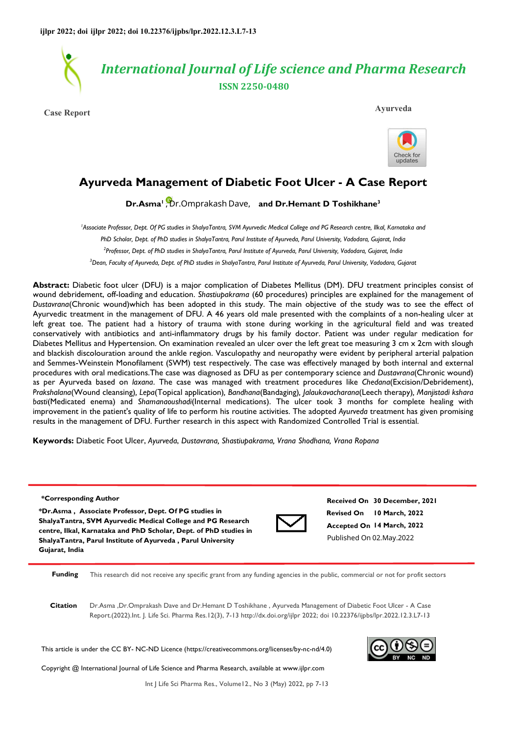

**Case Report Ayurveda**



# **Ayurveda Management of Diabetic Foot Ulcer - A Case Report**

**[D](https://orcid.org/0000- 0003-3332-2463)r.Asma<sup>1</sup>**, Dr.Omprakash Dave, and Dr.Hemant D Toshikhane<sup>3</sup>

<sup>1</sup>Associate Professor, Dept. Of PG studies in ShalyaTantra, SVM Ayurvedic Medical College and PG Research centre, Ilkal, Karnataka and *PhD Scholar, Dept. of PhD studies in ShalyaTantra, Parul Institute of Ayurveda, Parul University, Vadodara, Gujarat, India 2 Professor, Dept. of PhD studies in ShalyaTantra, Parul Institute of Ayurveda, Parul University, Vadodara, Gujarat, India <sup>3</sup>Dean, Faculty of Ayurveda, Dept. of PhD studies in ShalyaTantra, Parul Institute of Ayurveda, Parul University, Vadodara, Gujarat* 

**Abstract:** Diabetic foot ulcer (DFU) is a major complication of Diabetes Mellitus (DM). DFU treatment principles consist of wound debridement, off-loading and education. *Shastiupakrama* (60 procedures) principles are explained for the management of *Dustavrana*(Chronic wound)which has been adopted in this study. The main objective of the study was to see the effect of Ayurvedic treatment in the management of DFU. A 46 years old male presented with the complaints of a non-healing ulcer at left great toe. The patient had a history of trauma with stone during working in the agricultural field and was treated conservatively with antibiotics and anti-inflammatory drugs by his family doctor. Patient was under regular medication for Diabetes Mellitus and Hypertension. On examination revealed an ulcer over the left great toe measuring 3 cm x 2cm with slough and blackish discolouration around the ankle region. Vasculopathy and neuropathy were evident by peripheral arterial palpation and Semmes-Weinstein Monofilament (SWM) test respectively. The case was effectively managed by both internal and external procedures with oral medications.The case was diagnosed as DFU as per contemporary science and *Dustavrana*(Chronic wound) as per Ayurveda based on *laxana*. The case was managed with treatment procedures like *Chedana*(Excision/Debridement), *Prakshalana*(Wound cleansing)*, Lepa*(Topical application)*, Bandhana*(Bandaging)*, Jalaukavacharana*(Leech therapy)*, Manjistadi kshara basti*(Medicated enema) and *Shamanaoushadi*(Internal medications). The ulcer took 3 months for complete healing with improvement in the patient's quality of life to perform his routine activities. The adopted *Ayurveda* treatment has given promising results in the management of DFU. Further research in this aspect with Randomized Controlled Trial is essential.

**Keywords:** Diabetic Foot Ulcer, *Ayurveda*, *Dustavrana, Shastiupakrama, Vrana Shodhana, Vrana Ropana*

#### **\*Corresponding Author**

**\*Dr.Asma , Associate Professor, Dept. Of PG studies in ShalyaTantra, SVM Ayurvedic Medical College and PG Research centre, Ilkal, Karnataka and PhD Scholar, Dept. of PhD studies in ShalyaTantra, Parul Institute of Ayurveda , Parul University Gujarat, India**



**Revised On 10 March, 2022 Accepted On 14 March, 2022 Received On 30 December, 2021** Published On 02.May.2022

**Funding** This research did not receive any specific grant from any funding agencies in the public, commercial or not for profit sectors

**Citation** Dr.Asma ,Dr.Omprakash Dave and Dr.Hemant D Toshikhane , Ayurveda Management of Diabetic Foot Ulcer - A Case Report.(2022).Int. J. Life Sci. Pharma Res.12(3), 7-13 http://dx.doi.org/ijlpr 2022; doi 10.22376/ijpbs/lpr.2022.12.3.L7-13

This article is under the CC BY- NC-ND Licence (https://creativecommons.org/licenses/by-nc-nd/4.0)

Copyright @ International Journal of Life Science and Pharma Research, available at www.ijlpr.com



Int J Life Sci Pharma Res., Volume12., No 3 (May) 2022, pp 7-13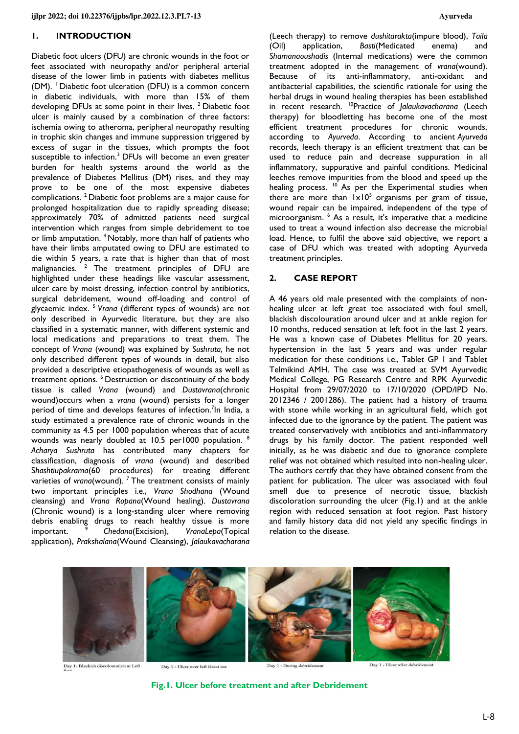# **1. INTRODUCTION**

Diabetic foot ulcers (DFU) are chronic wounds in the foot or feet associated with neuropathy and/or peripheral arterial disease of the lower limb in patients with diabetes mellitus (DM). <sup>1</sup> Diabetic foot ulceration (DFU) is a common concern in diabetic individuals, with more than 15% of them developing DFUs at some point in their lives.<sup>2</sup> Diabetic foot ulcer is mainly caused by a combination of three factors: ischemia owing to atheroma, peripheral neuropathy resulting in trophic skin changes and immune suppression triggered by excess of sugar in the tissues, which prompts the foot susceptible to infection.<sup>3</sup> DFUs will become an even greater burden for health systems around the world as the prevalence of Diabetes Mellitus (DM) rises, and they may prove to be one of the most expensive diabetes complications. <sup>2</sup>Diabetic foot problems are a major cause for prolonged hospitalization due to rapidly spreading disease; approximately 70% of admitted patients need surgical intervention which ranges from simple debridement to toe or limb amputation. <sup>4</sup>Notably, more than half of patients who have their limbs amputated owing to DFU are estimated to die within 5 years, a rate that is higher than that of most malignancies.  $2$  The treatment principles of DFU are highlighted under these headings like vascular assessment, ulcer care by moist dressing, infection control by antibiotics, surgical debridement, wound off-loading and control of glycaemic index. <sup>5</sup>*Vrana* (different types of wounds) are not only described in Ayurvedic literature, but they are also classified in a systematic manner, with different systemic and local medications and preparations to treat them. The concept of *Vrana* (wound) was explained by *Sushruta*, he not only described different types of wounds in detail, but also provided a descriptive etiopathogenesis of wounds as well as treatment options. <sup>6</sup> Destruction or discontinuity of the body tissue is called *Vrana* (wound) and *Dustavrana*(chronic wound)occurs when a *vrana* (wound) persists for a longer period of time and develops features of infection.<sup>7</sup>In India, a study estimated a prevalence rate of chronic wounds in the community as 4.5 per 1000 population whereas that of acute wounds was nearly doubled at 10.5 per1000 population. *Acharya Sushruta* has contributed many chapters for classification, diagnosis of *vrana* (wound) and described S*hashtiupakrama*(60 procedures) for treating different varieties of *vrana*(wound)*.*  <sup>7</sup>The treatment consists of mainly two important principles i.e., *Vrana Shodhana* (Wound cleansing) and *Vrana Ropana*(Wound healing). *Dustavrana* (Chronic wound) is a long-standing ulcer where removing debris enabling drugs to reach healthy tissue is more important. <sup>9</sup>*Chedana*(Excision), *VranaLepa*(Topical application), *Prakshalana*(Wound Cleansing), *Jalaukavacharana*

(Leech therapy) to remove *dushitarakta*(impure blood), *Taila* (Oil) application, *Basti*(Medicated enema) and *Shamanaoushadis* (Internal medications) were the common treatment adopted in the management of *vrana*(wound). Because of its anti-inflammatory, anti-oxidant and antibacterial capabilities, the scientific rationale for using the herbal drugs in wound healing therapies has been established in recent research. <sup>10</sup>Practice of *Jalaukavacharana* (Leech therapy) for bloodletting has become one of the most efficient treatment procedures for chronic wounds, according to *Ayurveda*. According to ancient *Ayurveda* records, leech therapy is an efficient treatment that can be used to reduce pain and decrease suppuration in all inflammatory, suppurative and painful conditions. Medicinal leeches remove impurities from the blood and speed up the healing process.  $10^{\circ}$  As per the Experimental studies when there are more than  $1 \times 10^5$  organisms per gram of tissue, wound repair can be impaired, independent of the type of microorganism. <sup>6</sup> As a result, it's imperative that a medicine used to treat a wound infection also decrease the microbial load. Hence, to fulfil the above said objective, we report a case of DFU which was treated with adopting Ayurveda treatment principles.

# **2. CASE REPORT**

A 46 years old male presented with the complaints of nonhealing ulcer at left great toe associated with foul smell, blackish discolouration around ulcer and at ankle region for 10 months, reduced sensation at left foot in the last 2 years. He was a known case of Diabetes Mellitus for 20 years, hypertension in the last 5 years and was under regular medication for these conditions i.e., Tablet GP 1 and Tablet Telmikind AMH. The case was treated at SVM Ayurvedic Medical College, PG Research Centre and RPK Ayurvedic Hospital from 29/07/2020 to 17/10/2020 (OPD/IPD No. 2012346 / 2001286). The patient had a history of trauma with stone while working in an agricultural field, which got infected due to the ignorance by the patient. The patient was treated conservatively with antibiotics and anti-inflammatory drugs by his family doctor. The patient responded well initially, as he was diabetic and due to ignorance complete relief was not obtained which resulted into non-healing ulcer. The authors certify that they have obtained consent from the patient for publication. The ulcer was associated with foul smell due to presence of necrotic tissue, blackish discoloration surrounding the ulcer (Fig.1) and at the ankle region with reduced sensation at foot region. Past history and family history data did not yield any specific findings in relation to the disease.



Day 1- Blackish discolouration at Left

Day 1 - Ulcer over left Great toe

Day 1 - During debridement

Day 1 - Ulcer after debridement

**Fig.1. Ulcer before treatment and after Debridement**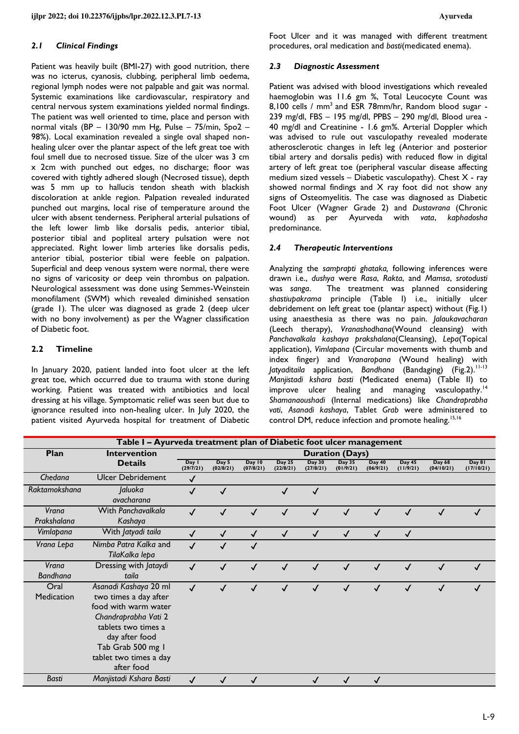#### *2.1 Clinical Findings*

Patient was heavily built (BMI-27) with good nutrition, there was no icterus, cyanosis, clubbing, peripheral limb oedema, regional lymph nodes were not palpable and gait was normal. Systemic examinations like cardiovascular, respiratory and central nervous system examinations yielded normal findings. The patient was well oriented to time, place and person with normal vitals (BP – 130/90 mm Hg, Pulse – 75/min, Spo2 – 98%). Local examination revealed a single oval shaped nonhealing ulcer over the plantar aspect of the left great toe with foul smell due to necrosed tissue. Size of the ulcer was 3 cm x 2cm with punched out edges, no discharge; floor was covered with tightly adhered slough (Necrosed tissue), depth was 5 mm up to hallucis tendon sheath with blackish discoloration at ankle region. Palpation revealed indurated punched out margins, local rise of temperature around the ulcer with absent tenderness. Peripheral arterial pulsations of the left lower limb like dorsalis pedis, anterior tibial, posterior tibial and popliteal artery pulsation were not appreciated. Right lower limb arteries like dorsalis pedis, anterior tibial, posterior tibial were feeble on palpation. Superficial and deep venous system were normal, there were no signs of varicosity or deep vein thrombus on palpation. Neurological assessment was done using Semmes-Weinstein monofilament (SWM) which revealed diminished sensation (grade 1). The ulcer was diagnosed as grade 2 (deep ulcer with no bony involvement) as per the Wagner classification of Diabetic foot.

# **2.2 Timeline**

In January 2020, patient landed into foot ulcer at the left great toe, which occurred due to trauma with stone during working. Patient was treated with antibiotics and local dressing at his village. Symptomatic relief was seen but due to ignorance resulted into non-healing ulcer. In July 2020, the patient visited Ayurveda hospital for treatment of Diabetic Foot Ulcer and it was managed with different treatment procedures, oral medication and *basti*(medicated enema).

#### *2.3 Diagnostic Assessment*

Patient was advised with blood investigations which revealed haemoglobin was 11.6 gm %, Total Leucocyte Count was 8,100 cells / mm<sup>3</sup> and ESR 78mm/hr, Random blood sugar -239 mg/dl, FBS – 195 mg/dl, PPBS – 290 mg/dl, Blood urea - 40 mg/dl and Creatinine - 1.6 gm%. Arterial Doppler which was advised to rule out vasculopathy revealed moderate atherosclerotic changes in left leg (Anterior and posterior tibial artery and dorsalis pedis) with reduced flow in digital artery of left great toe (peripheral vascular disease affecting medium sized vessels – Diabetic vasculopathy). Chest  $X$  - ray showed normal findings and  $X$  ray foot did not show any signs of Osteomyelitis. The case was diagnosed as Diabetic Foot Ulcer (Wagner Grade 2) and *Dustavrana* (Chronic wound) as per Ayurveda with *vata*, *kaphadosha* predominance.

# *2.4 Therapeutic Interventions*

Analyzing the *samprapti ghataka,* following inferences were drawn i.e., *dushya* were *Rasa*, *Rakta*, and *Mamsa*, *srotodusti* was *sanga*. The treatment was planned considering *shastiupakrama* principle (Table I) i.e., initially ulcer debridement on left great toe (plantar aspect) without (Fig.1) using anaesthesia as there was no pain. *Jalaukavacharan* (Leech therapy), *Vranashodhana*(Wound cleansing) with *Panchavalkala kashaya prakshalana*(Cleansing), *Lepa*(Topical application), *Vimlapana* (Circular movements with thumb and index finger) and *Vranaropana* (Wound healing) with Jatyaditaila application, Bandhana (Bandaging) (Fig.2).<sup>11-13</sup> *Manjistadi kshara basti* (Medicated enema) (Table II) to improve ulcer healing and managing vasculopathy.<sup>14</sup> *Shamanaoushadi* (Internal medications) like *Chandraprabha vati*, *Asanadi kashaya*, Tablet *Grab* were administered to control DM, reduce infection and promote healing.<sup>15,16</sup>

| Table I - Ayurveda treatment plan of Diabetic foot ulcer management |                                                                                                                                                                                                      |                        |                    |                     |                     |                     |                            |                     |                     |                      |                      |
|---------------------------------------------------------------------|------------------------------------------------------------------------------------------------------------------------------------------------------------------------------------------------------|------------------------|--------------------|---------------------|---------------------|---------------------|----------------------------|---------------------|---------------------|----------------------|----------------------|
| Plan                                                                | <b>Intervention</b>                                                                                                                                                                                  | <b>Duration (Days)</b> |                    |                     |                     |                     |                            |                     |                     |                      |                      |
|                                                                     | <b>Details</b>                                                                                                                                                                                       | Day I<br>(29/7/21)     | Day 5<br>(02/8/21) | Day 10<br>(07/8/21) | Day 25<br>(22/8/21) | Day 30<br>(27/8/21) | <b>Day 35</b><br>(01/9/21) | Day 40<br>(06/9/21) | Day 45<br>(11/9/21) | Day 68<br>(04/10/21) | Day 81<br>(17/10/21) |
| Chedana                                                             | <b>Ulcer Debridement</b>                                                                                                                                                                             | $\checkmark$           |                    |                     |                     |                     |                            |                     |                     |                      |                      |
| Raktamokshana                                                       | Jaluoka<br>avacharana                                                                                                                                                                                | $\checkmark$           | √                  |                     | $\checkmark$        | √                   |                            |                     |                     |                      |                      |
| Vrana<br>Prakshalana                                                | With Panchavalkala<br>Kashaya                                                                                                                                                                        | $\checkmark$           | √                  | $\checkmark$        |                     |                     |                            |                     |                     |                      |                      |
| Vimlapana                                                           | With Jatyadi taila                                                                                                                                                                                   | ✓                      | $\checkmark$       | $\checkmark$        | $\checkmark$        | ✓                   | ✓                          | ✓                   | $\checkmark$        |                      |                      |
| Vrana Lepa                                                          | Nimba Patra Kalka and<br>TilaKalka lepa                                                                                                                                                              | $\checkmark$           | $\checkmark$       | $\checkmark$        |                     |                     |                            |                     |                     |                      |                      |
| Vrana<br><b>Bandhana</b>                                            | Dressing with Jataydi<br>taila                                                                                                                                                                       |                        |                    |                     |                     |                     |                            |                     |                     |                      |                      |
| Oral<br><b>Medication</b>                                           | Asanadi Kashaya 20 ml<br>two times a day after<br>food with warm water<br>Chandraprabha Vati 2<br>tablets two times a<br>day after food<br>Tab Grab 500 mg I<br>tablet two times a day<br>after food | ✓                      |                    |                     |                     |                     |                            |                     |                     |                      |                      |
| <b>Basti</b>                                                        | Manjistadi Kshara Basti                                                                                                                                                                              |                        |                    |                     |                     |                     |                            |                     |                     |                      |                      |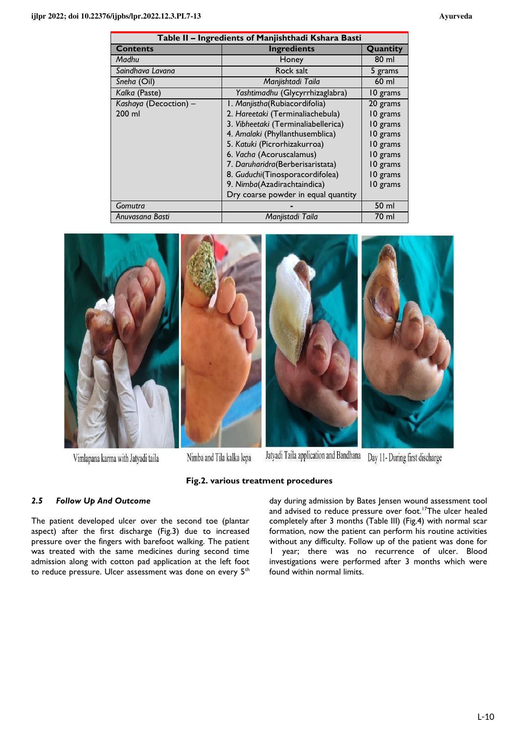| Table II - Ingredients of Manjishthadi Kshara Basti |                                     |          |  |  |  |  |  |
|-----------------------------------------------------|-------------------------------------|----------|--|--|--|--|--|
| <b>Contents</b>                                     | <b>Ingredients</b>                  | Quantity |  |  |  |  |  |
| Madhu                                               | Honey                               | 80 ml    |  |  |  |  |  |
| Saindhava Lavana                                    | Rock salt                           | 5 grams  |  |  |  |  |  |
| Sneha (Oil)                                         | Manjishtadi Taila                   | $60$ ml  |  |  |  |  |  |
| Kalka (Paste)                                       | Yashtimadhu (Glycyrrhizaglabra)     | 10 grams |  |  |  |  |  |
| Kashaya (Decoction) -                               | I. Manjistha(Rubiacordifolia)       | 20 grams |  |  |  |  |  |
| 200 ml                                              | 2. Hareetaki (Terminaliachebula)    | 10 grams |  |  |  |  |  |
|                                                     | 3. Vibheetaki (Terminaliabellerica) | 10 grams |  |  |  |  |  |
|                                                     | 4. Amalaki (Phyllanthusemblica)     | 10 grams |  |  |  |  |  |
|                                                     | 5. Katuki (Picrorhizakurroa)        | 10 grams |  |  |  |  |  |
|                                                     | 6. Vacha (Acoruscalamus)            | 10 grams |  |  |  |  |  |
|                                                     | 7. Daruharidra(Berberisaristata)    | 10 grams |  |  |  |  |  |
|                                                     | 8. Guduchi(Tinosporacordifolea)     | 10 grams |  |  |  |  |  |
|                                                     | 9. Nimba(Azadirachtaindica)         | 10 grams |  |  |  |  |  |
|                                                     | Dry coarse powder in equal quantity |          |  |  |  |  |  |
| Gomutra                                             |                                     | 50 ml    |  |  |  |  |  |
| Anuvasana Basti                                     | Manjistadi Taila                    | 70 ml    |  |  |  |  |  |



**Fig.2. various treatment procedures** 

Vimlapana karma with Jatyadi taila

Nimba and Tila kalka lepa

# *2.5 Follow Up And Outcome*

The patient developed ulcer over the second toe (plantar aspect) after the first discharge (Fig.3) due to increased pressure over the fingers with barefoot walking. The patient was treated with the same medicines during second time admission along with cotton pad application at the left foot to reduce pressure. Ulcer assessment was done on every 5<sup>th</sup> day during admission by Bates Jensen wound assessment tool and advised to reduce pressure over foot.<sup>17</sup>The ulcer healed completely after 3 months (Table III) (Fig.4) with normal scar formation, now the patient can perform his routine activities without any difficulty. Follow up of the patient was done for 1 year; there was no recurrence of ulcer. Blood investigations were performed after 3 months which were found within normal limits.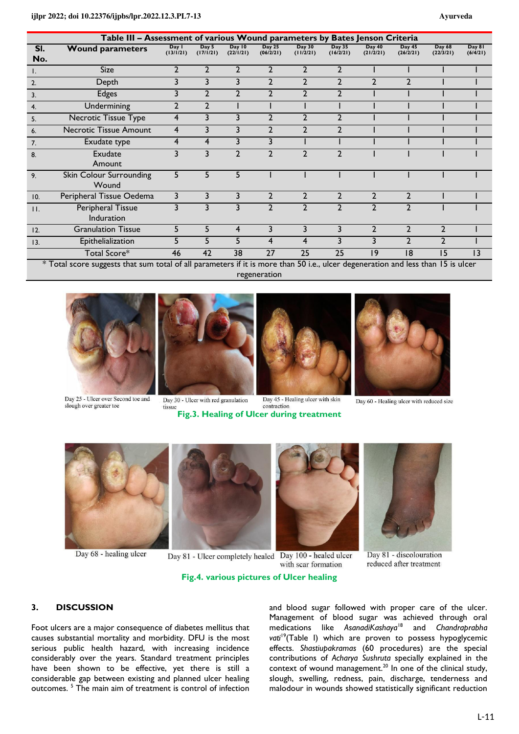| Table III - Assessment of various Wound parameters by Bates Jenson Criteria |                                                              |                    |                    |                                                                 |                            |                                                   |                            |                     |                     |                                     |                    |
|-----------------------------------------------------------------------------|--------------------------------------------------------------|--------------------|--------------------|-----------------------------------------------------------------|----------------------------|---------------------------------------------------|----------------------------|---------------------|---------------------|-------------------------------------|--------------------|
| SI.<br>No.                                                                  | <b>Wound parameters</b>                                      | Day I<br>(13/1/21) | Day 5<br>(17/1/21) | Day 10<br>(22/1/21)                                             | <b>Day 25</b><br>(06/2/21) | <b>Day 30</b><br>(11/2/21)                        | <b>Day 35</b><br>(16/2/21) | Day 40<br>(21/2/21) | Day 45<br>(26/2/21) | <b>Day 68</b><br>(22/3/21)          | Day 81<br>(6/4/21) |
| Ι.                                                                          | Size                                                         | $\overline{2}$     | $\mathbf{2}$       | $\mathbf{2}$                                                    | $\overline{2}$             | $\overline{2}$                                    | $\overline{2}$             |                     |                     |                                     |                    |
| 2.                                                                          | Depth                                                        | 3                  | 3                  | 3                                                               | $\overline{2}$             | $\overline{2}$                                    | $\overline{2}$             | $\mathbf{c}$        | $\overline{2}$      |                                     |                    |
| 3.                                                                          | <b>Edges</b>                                                 | 3                  | $\mathbf{2}$       | $\mathcal{P}$                                                   | $\mathfrak{p}$             | $\overline{2}$                                    | $\overline{2}$             |                     |                     |                                     |                    |
| 4.                                                                          | Undermining                                                  | 2                  | 2                  |                                                                 |                            |                                                   |                            |                     |                     |                                     |                    |
| 5.                                                                          | <b>Necrotic Tissue Type</b>                                  | 4                  | 3                  | 3                                                               | $\mathbf{2}$               | $\mathbf{2}$                                      | 2                          |                     |                     |                                     |                    |
| 6.                                                                          | <b>Necrotic Tissue Amount</b>                                | 4                  | 3                  | 3                                                               | $\mathbf{2}$               | $\mathbf{2}$                                      | $\overline{2}$             |                     |                     |                                     |                    |
| 7.                                                                          | Exudate type                                                 | 4                  | 4                  | 3                                                               | 3                          |                                                   |                            |                     |                     |                                     |                    |
| 8.                                                                          | <b>Exudate</b><br>Amount                                     | 3                  | 3                  | $\mathbf{2}$                                                    |                            | $\overline{2}$                                    | $\overline{2}$             |                     |                     |                                     |                    |
| 9 <sub>1</sub>                                                              | Skin Colour Surrounding<br>Wound                             | 5                  | 5                  | 5                                                               |                            |                                                   |                            |                     |                     |                                     |                    |
| 10.                                                                         | Peripheral Tissue Oedema                                     | 3                  | 3                  | 3                                                               | $\overline{2}$             | $\overline{2}$                                    | $\overline{2}$             | $\overline{2}$      | $\overline{2}$      |                                     |                    |
| $\Pi$ .                                                                     | Peripheral Tissue<br>Induration                              | 3                  | 3                  | 3                                                               | $\mathfrak{p}$             | $\overline{2}$                                    | $\overline{2}$             | $\mathcal{P}$       | $\overline{2}$      |                                     |                    |
| 12.                                                                         | <b>Granulation Tissue</b>                                    | 5                  | 5                  | 4                                                               | 3                          | 3                                                 | 3                          | 2                   | $\overline{2}$      | $\overline{2}$                      |                    |
| 13.                                                                         | Epithelialization                                            | 5                  | 5                  | 5                                                               | 4                          | 4                                                 | 3                          | 3                   | $\overline{2}$      | $\mathbf{2}$                        |                    |
|                                                                             | Total Score*<br>$\mathbf{v}$ T $\mathbf{v}$ and $\mathbf{v}$ | 46<br>$1 - C - H$  | 42                 | 38<br>$\mathbf{r}$ , $\mathbf{r}$ , $\mathbf{r}$ , $\mathbf{r}$ | 27                         | $\overline{25}$<br>$\mathsf{r}\wedge\mathsf{r}$ . | $\overline{25}$            | 9                   | 8                   | 15<br>$\mathbf{F}$ and $\mathbf{F}$ | 13                 |

\* Total score suggests that sum total of all parameters if it is more than 50 i.e., ulcer degeneration and less than 15 is ulcer regeneration



slough over greater toe



Day 30 - Ulcer with red granulation tissue **Fig.3. Healing of Ulcer during treatment** 

Day 45 - Healing ulcer with skin contraction

Day 60 - Healing ulcer with reduced size



Day 68 - healing ulcer

Day 81 - Ulcer completely healed Day 100 - healed ulcer with scar formation



Day 81 - discolouration reduced after treatment

# **Fig.4. various pictures of Ulcer healing**

# **3. DISCUSSION**

Foot ulcers are a major consequence of diabetes mellitus that causes substantial mortality and morbidity. DFU is the most serious public health hazard, with increasing incidence considerably over the years. Standard treatment principles have been shown to be effective, yet there is still a considerable gap between existing and planned ulcer healing outcomes.<sup>5</sup> The main aim of treatment is control of infection and blood sugar followed with proper care of the ulcer. Management of blood sugar was achieved through oral medications like *AsanadiKashaya*<sup>18</sup> and *Chandraprabha*  vati<sup>19</sup>(Table I) which are proven to possess hypoglycemic effects. *Shastiupakramas* (60 procedures) are the special contributions of *Acharya Sushruta* specially explained in the context of wound management.<sup>20</sup> In one of the clinical study, slough, swelling, redness, pain, discharge, tenderness and malodour in wounds showed statistically significant reduction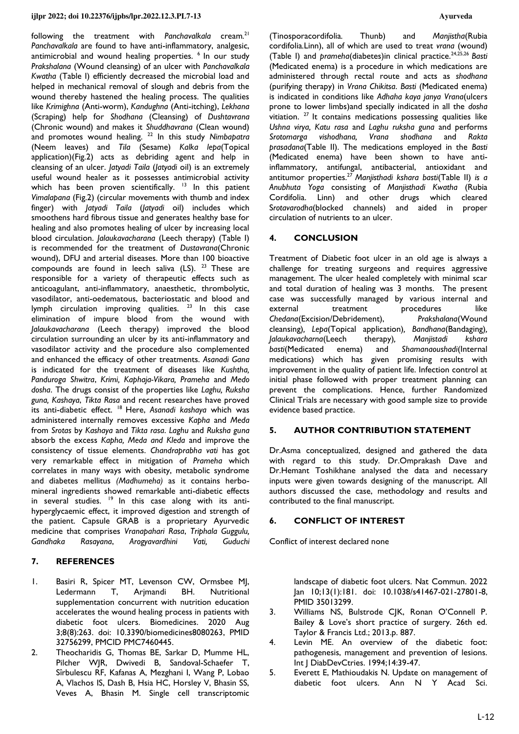following the treatment with *Panchavalkala* cream*.* 21 *Panchavalkala* are found to have anti-inflammatory, analgesic, antimicrobial and wound healing properties. <sup>6</sup> In our study *Prakshalana* (Wound cleansing) of an ulcer with *Panchavalkala Kwatha* (Table I) efficiently decreased the microbial load and helped in mechanical removal of slough and debris from the wound thereby hastened the healing process. The qualities like *Krimighna* (Anti-worm), *Kandughna* (Anti-itching), *Lekhana* (Scraping) help for *Shodhana* (Cleansing) of *Dushtavrana* (Chronic wound) and makes it *Shuddhavrana* (Clean wound) and promotes wound healing. <sup>22</sup> In this study *Nimbapatra* (Neem leaves) and *Tila* (Sesame) *Kalka lepa*(Topical application)(Fig.2) acts as debriding agent and help in cleansing of an ulcer. *Jatyadi Taila* (*Jatyadi* oil) is an extremely useful wound healer as it possesses antimicrobial activity which has been proven scientifically. <sup>13</sup> In this patient *Vimalapana* (Fig.2) (circular movements with thumb and index finger) with *Jatyadi Taila* (*Jatyadi* oil) includes which smoothens hard fibrous tissue and generates healthy base for healing and also promotes healing of ulcer by increasing local blood circulation. *Jalaukavacharana* (Leech therapy) (Table I) is recommended for the treatment of *Dustavrana*(Chronic wound), DFU and arterial diseases. More than 100 bioactive compounds are found in leech saliva (LS). <sup>23</sup> These are responsible for a variety of therapeutic effects such as anticoagulant, anti-inflammatory, anaesthetic, thrombolytic, vasodilator, anti-oedematous, bacteriostatic and blood and lymph circulation improving qualities.  $23$  In this case elimination of impure blood from the wound with *Jalaukavacharana* (Leech therapy) improved the blood circulation surrounding an ulcer by its anti-inflammatory and vasodilator activity and the procedure also complemented and enhanced the efficacy of other treatments. *Asanadi Gana* is indicated for the treatment of diseases like *Kushtha, Panduroga Shwitra*, *Krimi, Kaphaja-Vikara, Prameha* and *Medo dosha*. The drugs consist of the properties like *Laghu, Ruksha guna, Kashaya*, *Tikta Rasa* and recent researches have proved its anti-diabetic effect. <sup>18</sup> Here, Asanadi kashaya which was administered internally removes excessive *Kapha* and *Meda* from *Srotas* by *Kashaya* and *Tikta rasa*. *Laghu* and *Ruksha guna* absorb the excess *Kapha, Meda and Kleda* and improve the consistency of tissue elements. *Chandraprabha vati* has got very remarkable effect in mitigation of *Prameha* which correlates in many ways with obesity, metabolic syndrome and diabetes mellitus *(Madhumeha)* as it contains herbomineral ingredients showed remarkable anti-diabetic effects in several studies.  $19$  In this case along with its antihyperglycaemic effect, it improved digestion and strength of the patient. Capsule GRAB is a proprietary Ayurvedic medicine that comprises *Vranapahari Rasa*, *Triphala Guggulu, Gandhaka Rasayana*, *Arogyavardhini Vati, Guduchi*

# **7. REFERENCES**

- 1. Basiri R, Spicer MT, Levenson CW, Ormsbee MJ, Ledermann T, Arjmandi BH. Nutritional supplementation concurrent with nutrition education accelerates the wound healing process in patients with diabetic foot ulcers. Biomedicines. 2020 Aug 3;8(8):263. doi: [10.3390/biomedicines8080263,](https://doi.org/10.3390/biomedicines8080263) PMID [32756299,](http://www.ncbi.nlm.nih.gov/pubmed/32756299) PMCID [PMC7460445.](https://www.ncbi.nlm.nih.gov/pmc/articles/PMC7460445)
- 2. Theocharidis G, Thomas BE, Sarkar D, Mumme HL, Pilcher WJR, Dwivedi B, Sandoval-Schaefer T, Sîrbulescu RF, Kafanas A, Mezghani I, Wang P, Lobao A, Vlachos IS, Dash B, Hsia HC, Horsley V, Bhasin SS, Veves A, Bhasin M. Single cell transcriptomic

(Tinosporacordifolia*.* Thunb) and *Manjistha*(Rubia cordifolia*.*Linn), all of which are used to treat *vrana* (wound) (Table I) and *prameha*(diabetes)in clinical practice.24,25,26 *Basti* (Medicated enema) is a procedure in which medications are administered through rectal route and acts as *shodhana* (purifying therapy) in *Vrana Chikitsa*. *Basti* (Medicated enema) is indicated in conditions like *Adhaha kaya janya Vrana*(ulcers prone to lower limbs)and specially indicated in all the *dosha* vitiation.  $27$  It contains medications possessing qualities like *Ushna virya, Katu rasa* and *Laghu ruksha guna* and performs *Srotomarga vishodhana, Vrana shodhana* and *Rakta prasadana*(Table II). The medications employed in the *Basti* (Medicated enema) have been shown to have antiinflammatory, antifungal, antibacterial, antioxidant and antitumor properties.<sup>27</sup>*Manjisthadi kshara basti*(Table II) *is a Anubhuta Yoga* consisting of *Manjisthadi Kwatha* (Rubia Cordifolia. Linn) and other drugs which cleared S*rotavarodha*(blocked channels) and aided in proper circulation of nutrients to an ulcer.

# **4. CONCLUSION**

Treatment of Diabetic foot ulcer in an old age is always a challenge for treating surgeons and requires aggressive management. The ulcer healed completely with minimal scar and total duration of healing was 3 months. The present case was successfully managed by various internal and external treatment procedures like<br>Chedana(Excision/Debridement). Prakshalana(Wound *Chedana*(Excision/Debridement), cleansing)*, Lepa*(Topical application)*, Bandhana*(Bandaging)*, Jalaukavacharna*(Leech therapy)*, Manjistadi kshara basti*(Medicated enema) and *Shamanaoushadi*(Internal medications) which has given promising results with improvement in the quality of patient life. Infection control at initial phase followed with proper treatment planning can prevent the complications. Hence, further Randomized Clinical Trials are necessary with good sample size to provide evidence based practice.

# **5. AUTHOR CONTRIBUTION STATEMENT**

Dr.Asma conceptualized, designed and gathered the data with regard to this study. Dr.Omprakash Dave and Dr.Hemant Toshikhane analysed the data and necessary inputs were given towards designing of the manuscript. All authors discussed the case, methodology and results and contributed to the final manuscript.

# **6. CONFLICT OF INTEREST**

Conflict of interest declared none

landscape of diabetic foot ulcers. Nat Commun. 2022 Jan 10;13(1):181. doi: [10.1038/s41467-021-27801-8,](https://doi.org/10.1038/s41467-021-27801-8) PMID [35013299.](http://www.ncbi.nlm.nih.gov/pubmed/35013299)

- 3. Williams NS, Bulstrode CJK, Ronan O'Connell P. Bailey & Love's short practice of surgery. 26th ed. Taylor & Francis Ltd.; 2013.p. 887.
- 4. Levin ME. An overview of the diabetic foot: pathogenesis, management and prevention of lesions. Int J DiabDevCtries. 1994;14:39-47.
- 5. Everett E, Mathioudakis N. Update on management of diabetic foot ulcers. Ann N Y Acad Sci.